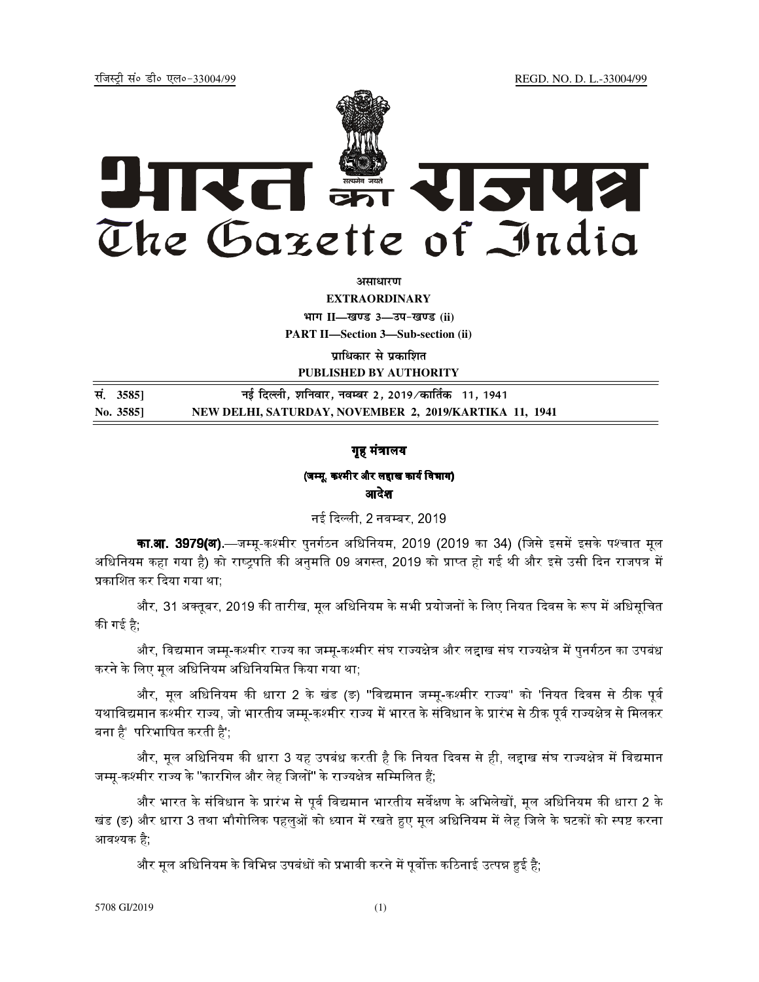REGD. NO. D. L.-33004/99

रजिस्टी सं० डी० एल०-33004/99



असाधारण

**EXTRAORDINARY** भाग II-खण्ड 3-उप-खण्ड (ii) **PART II-Section 3-Sub-section (ii)** पाधिकार से प्रकाशित PUBLISHED BY AUTHORITY

सं. 35851 नई दिल्ली, शनिवार, नवम्बर 2, 2019/कार्तिक 11, 1941 NEW DELHI, SATURDAY, NOVEMBER 2, 2019/KARTIKA 11, 1941 No. 3585]

## गृह मंत्रालय

# (जम्मू, कश्मीर और लद्दाख कार्य विभाग) आदेश

नई दिल्ली, 2 नवम्बर, 2019

**का.आ. 3979(अ).—**जम्मृ-कश्मीर पुनर्गठन अधिनियम, 2019 (2019 का 34) (जिसे इसमें इसके पश्चात मृल अधिनियम कहा गया है) को राष्ट्रपति की अनुमति 09 अगस्त, 2019 को प्राप्त हो गई थी और इसे उसी दिन राजपत्र में प्रकाशित कर दिया गया था;

और, 31 अक्तूबर, 2019 की तारीख, मूल अधिनियम के सभी प्रयोजनों के लिए नियत दिवस के रूप में अधिसूचित की गई है:

और, विद्यमान जम्मृ-कश्मीर राज्य का जम्मृ-कश्मीर संघ राज्यक्षेत्र और लद्दाख संघ राज्यक्षेत्र में पुनर्गठन का उपबंध करने के लिए मूल अधिनियम अधिनियमित किया गया था;

और, मूल अधिनियम की धारा 2 के खंड (ङ) "विद्यमान जम्मू-कश्मीर राज्य'' को 'नियत दिवस से ठीक पूर्व यथाविद्यमान कश्मीर राज्य, जो भारतीय जम्मू-कश्मीर राज्य में भारत के संविधान के प्रारंभ से ठीक पूर्व राज्यक्षेत्र से मिलकर बना है' परिभाषित करती है';

और, मूल अधिनियम की धारा 3 यह उपबंध करती है कि नियत दिवस से ही, लद्दाख संघ राज्यक्षेत्र में विद्यमान जम्मू-कश्मीर राज्य के "कारगिल और लेह जिलों" के राज्यक्षेत्र सम्मिलित हैं;

और भारत के संविधान के प्रारंभ से पूर्व विद्यमान भारतीय सर्वेक्षण के अभिलेखों, मूल अधिनियम की धारा 2 के खंड (ङ) और धारा 3 तथा भौगोलिक पहलुओं को ध्यान में रखते हुए मूल अधिनियम में लेह जिले के घटकों को स्पष्ट करना आवश्यक है:

और मूल अधिनियम के विभिन्न उपबंधों को प्रभावी करने में पूर्वोक्त कठिनाई उत्पन्न हुई है;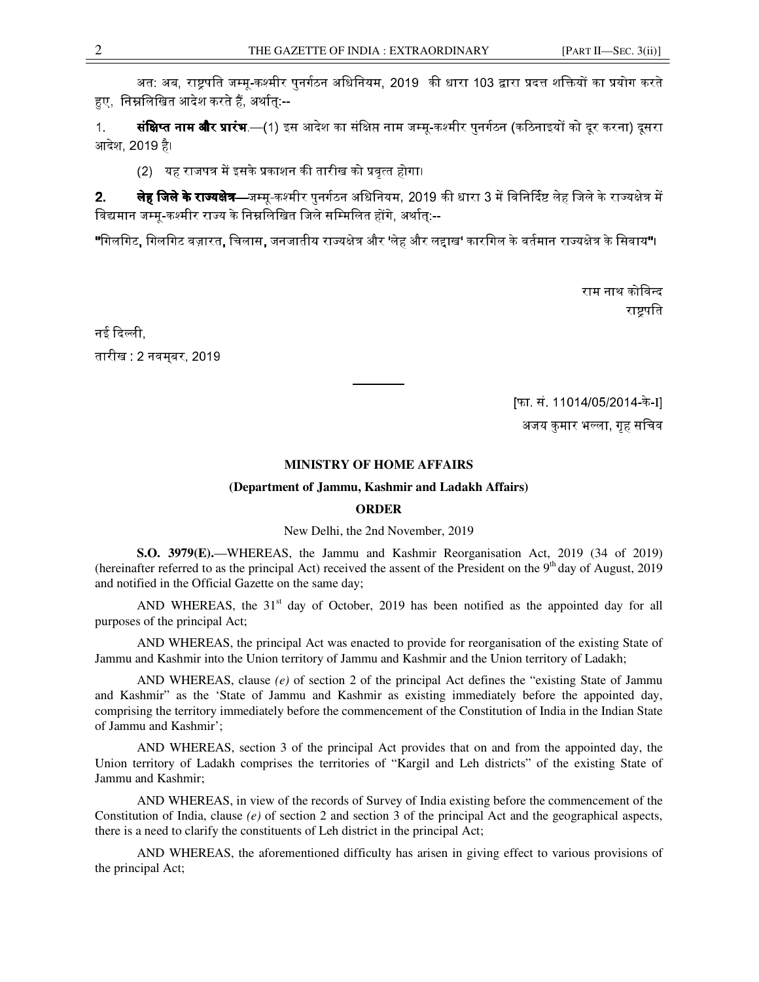अत: अब. राष्टपति जम्म-कश्मीर पनर्गठन अधिनियम. 2019 की धारा 103 द्वारा प्रदत्त शक्तियों का प्रयोग करते हए निम्नलिखित आदेश करते हैं, अर्थात:--

1. **संक्षिप्त नाम और प्रारंभ** —(1) इस आदेश का संक्षिप्त नाम जम्म-कश्मीर पनर्गठन (कठिनाइयों को दर करना) दसरा आदेश, 2019 है।

(2) यह राजपत्र में इसके प्रकाशन की तारीख को प्रवृत्त होगा।

**2**. **लेह जिले के राज्यक्षेत्र—जम्म-कश्मी**र पनर्गठन अधिनियम. 2019 की धारा 3 में विनिर्दिष्ट लेह जिले के राज्यक्षेत्र में .<br>विद्यमान जम्मू-कश्मीर राज्य के निम्नलिखित जिले सम्मिलित होंगे. अर्थात:--

"गिलगिट, गिलगिट वज़ारत, चिलास, जनजातीय राज्यक्षेत्र और 'लेह और लद्दाख' कारगिल के वर्तमान राज्यक्षेत्र के सिवाय"।

राम नाथ कोविन्द राष्ट्रपति

नई दिल्ली. तारीख : 2 नवमबर, 2019

[फा. सं. 11014/05/2014-के -I]

अजय कुमार भल्ला, गृह सचिव

#### **MINISTRY OF HOME AFFAIRS**

#### **(Department of Jammu, Kashmir and Ladakh Affairs)**

### **ORDER**

New Delhi, the 2nd November, 2019

**S.O. 3979(E).**—WHEREAS, the Jammu and Kashmir Reorganisation Act, 2019 (34 of 2019) (hereinafter referred to as the principal Act) received the assent of the President on the 9<sup>th</sup> day of August, 2019 and notified in the Official Gazette on the same day;

AND WHEREAS, the  $31<sup>st</sup>$  day of October, 2019 has been notified as the appointed day for all purposes of the principal Act;

AND WHEREAS, the principal Act was enacted to provide for reorganisation of the existing State of Jammu and Kashmir into the Union territory of Jammu and Kashmir and the Union territory of Ladakh;

AND WHEREAS, clause *(e)* of section 2 of the principal Act defines the "existing State of Jammu and Kashmir" as the 'State of Jammu and Kashmir as existing immediately before the appointed day, comprising the territory immediately before the commencement of the Constitution of India in the Indian State of Jammu and Kashmir';

AND WHEREAS, section 3 of the principal Act provides that on and from the appointed day, the Union territory of Ladakh comprises the territories of "Kargil and Leh districts" of the existing State of Jammu and Kashmir;

AND WHEREAS, in view of the records of Survey of India existing before the commencement of the Constitution of India, clause *(e)* of section 2 and section 3 of the principal Act and the geographical aspects, there is a need to clarify the constituents of Leh district in the principal Act;

AND WHEREAS, the aforementioned difficulty has arisen in giving effect to various provisions of the principal Act;